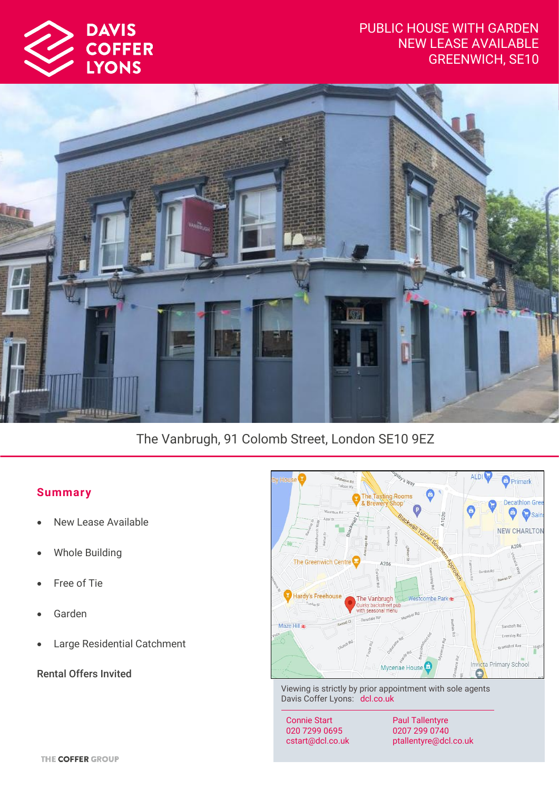# PUBLIC HOUSE WITH GARDEN NEW LEASE AVAILABLE GREENWICH, SE10





# The Vanbrugh, 91 Colomb Street, London SE10 9EZ

# **Summar y**

- New Lease Available
- Whole Building
- Free of Tie
- Garden
- Large Residential Catchment

Rental Offers Invited



Viewing is strictly by prior appointment with sole agents Davis Coffer Lyons: dcl.co.uk

Connie Start 020 7299 0695 cstart@dcl.co.uk

Paul Tallentyre 0207 299 0740 ptallentyre@dcl.co.uk